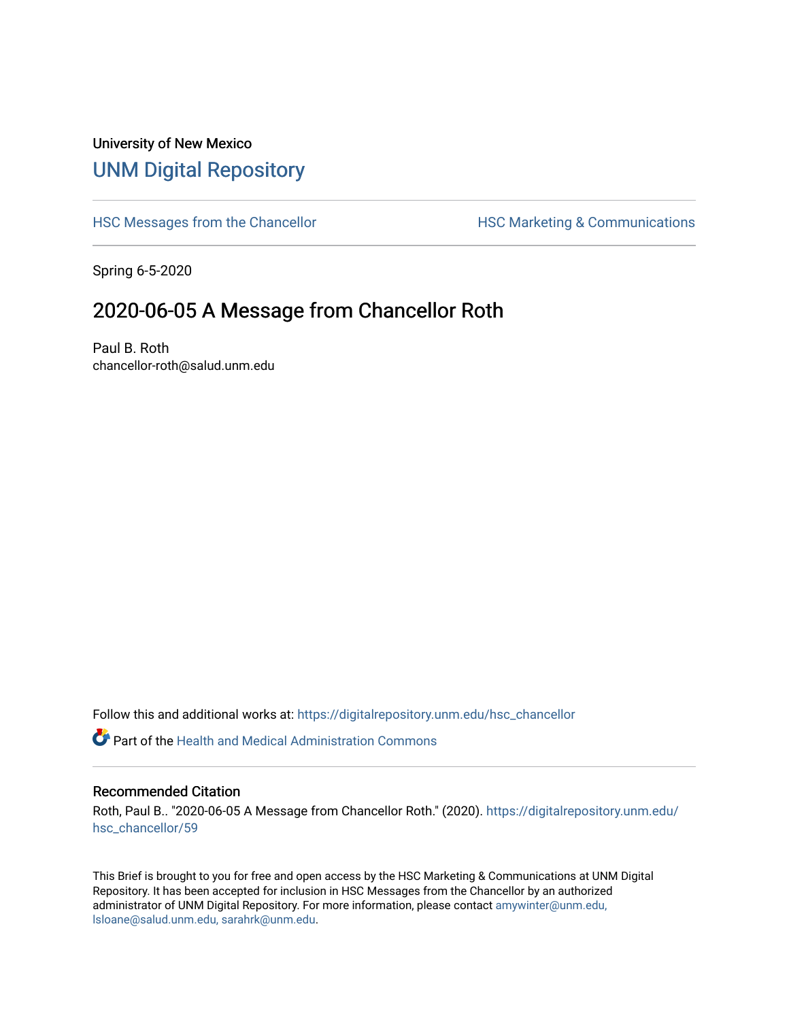## University of New Mexico [UNM Digital Repository](https://digitalrepository.unm.edu/)

[HSC Messages from the Chancellor](https://digitalrepository.unm.edu/hsc_chancellor) **HSC Marketing & Communications** 

Spring 6-5-2020

## 2020-06-05 A Message from Chancellor Roth

Paul B. Roth chancellor-roth@salud.unm.edu

Follow this and additional works at: [https://digitalrepository.unm.edu/hsc\\_chancellor](https://digitalrepository.unm.edu/hsc_chancellor?utm_source=digitalrepository.unm.edu%2Fhsc_chancellor%2F59&utm_medium=PDF&utm_campaign=PDFCoverPages) 

 $\bullet$  Part of the [Health and Medical Administration Commons](http://network.bepress.com/hgg/discipline/663?utm_source=digitalrepository.unm.edu%2Fhsc_chancellor%2F59&utm_medium=PDF&utm_campaign=PDFCoverPages)

## Recommended Citation

Roth, Paul B.. "2020-06-05 A Message from Chancellor Roth." (2020). [https://digitalrepository.unm.edu/](https://digitalrepository.unm.edu/hsc_chancellor/59?utm_source=digitalrepository.unm.edu%2Fhsc_chancellor%2F59&utm_medium=PDF&utm_campaign=PDFCoverPages) [hsc\\_chancellor/59](https://digitalrepository.unm.edu/hsc_chancellor/59?utm_source=digitalrepository.unm.edu%2Fhsc_chancellor%2F59&utm_medium=PDF&utm_campaign=PDFCoverPages) 

This Brief is brought to you for free and open access by the HSC Marketing & Communications at UNM Digital Repository. It has been accepted for inclusion in HSC Messages from the Chancellor by an authorized administrator of UNM Digital Repository. For more information, please contact [amywinter@unm.edu,](mailto:amywinter@unm.edu,%20lsloane@salud.unm.edu,%20sarahrk@unm.edu) [lsloane@salud.unm.edu, sarahrk@unm.edu.](mailto:amywinter@unm.edu,%20lsloane@salud.unm.edu,%20sarahrk@unm.edu)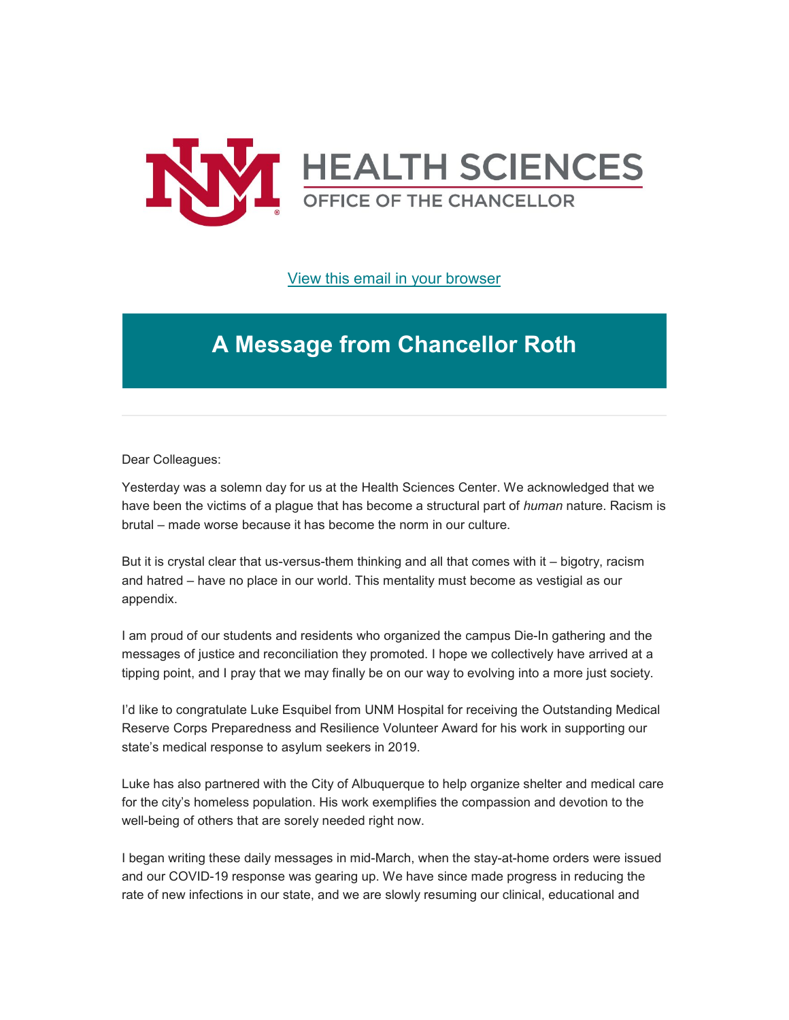

[View this email in your browser](https://mailchi.mp/e7a364cee330/message-from-the-chancellor-coronavirus-4430720?e=b4bbfca2c0)

## **A Message from Chancellor Roth**

Dear Colleagues:

Yesterday was a solemn day for us at the Health Sciences Center. We acknowledged that we have been the victims of a plague that has become a structural part of *human* nature. Racism is brutal – made worse because it has become the norm in our culture.

But it is crystal clear that us-versus-them thinking and all that comes with it – bigotry, racism and hatred – have no place in our world. This mentality must become as vestigial as our appendix.

I am proud of our students and residents who organized the campus Die-In gathering and the messages of justice and reconciliation they promoted. I hope we collectively have arrived at a tipping point, and I pray that we may finally be on our way to evolving into a more just society.

I'd like to congratulate Luke Esquibel from UNM Hospital for receiving the Outstanding Medical Reserve Corps Preparedness and Resilience Volunteer Award for his work in supporting our state's medical response to asylum seekers in 2019.

Luke has also partnered with the City of Albuquerque to help organize shelter and medical care for the city's homeless population. His work exemplifies the compassion and devotion to the well-being of others that are sorely needed right now.

I began writing these daily messages in mid-March, when the stay-at-home orders were issued and our COVID-19 response was gearing up. We have since made progress in reducing the rate of new infections in our state, and we are slowly resuming our clinical, educational and